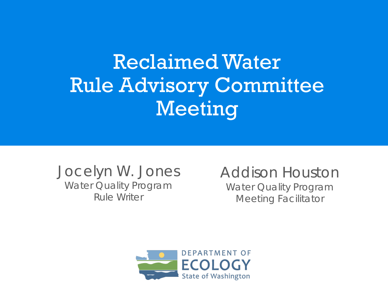### Reclaimed Water Rule Advisory Committee Meeting

Jocelyn W. Jones Water Quality Program Rule Writer

Addison Houston Water Quality Program Meeting Facilitator

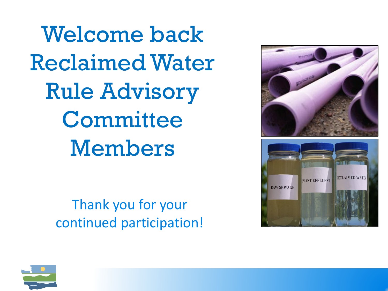Welcome back Reclaimed Water Rule Advisory **Committee** Members

> Thank you for your continued participation!



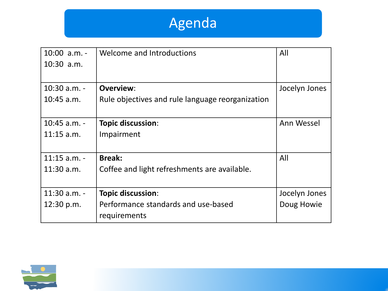### Agenda

| 10:00 a.m. -   | Welcome and Introductions                        | All           |
|----------------|--------------------------------------------------|---------------|
| $10:30$ a.m.   |                                                  |               |
|                |                                                  |               |
| $10:30$ a.m. - | Overview:                                        | Jocelyn Jones |
| $10:45$ a.m.   | Rule objectives and rule language reorganization |               |
|                |                                                  |               |
| $10:45$ a.m. - | Topic discussion:                                | Ann Wessel    |
| $11:15$ a.m.   | Impairment                                       |               |
|                |                                                  |               |
| $11:15$ a.m. - | <b>Break:</b>                                    | All           |
| $11:30$ a.m.   | Coffee and light refreshments are available.     |               |
|                |                                                  |               |
| $11:30$ a.m. - | Topic discussion:                                | Jocelyn Jones |
| 12:30 p.m.     | Performance standards and use-based              | Doug Howie    |
|                | requirements                                     |               |

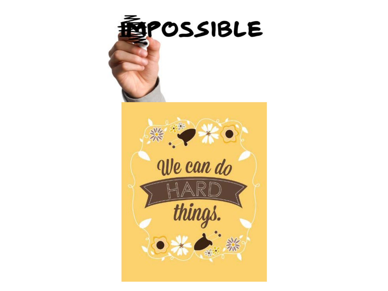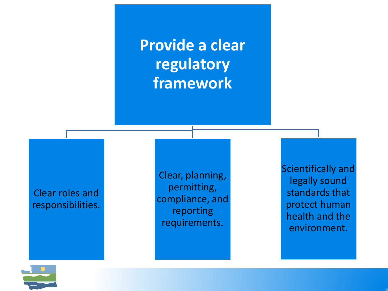**Provide a clear regulatory framework**

Clear roles and responsibilities.

Clear, planning, permitting, compliance, and reporting requirements.

Scientifically and legally sound standards that protect human health and the environment.

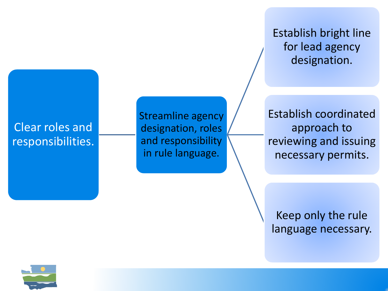Establish bright line for lead agency designation.

#### Clear roles and responsibilities.

Streamline agency designation, roles and responsibility in rule language.

Establish coordinated approach to reviewing and issuing necessary permits.

Keep only the rule language necessary.

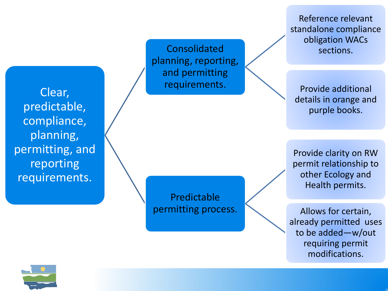Clear, predictable, compliance, planning, permitting, and reporting requirements.

Consolidated planning, reporting, and permitting requirements.

Predictable permitting process.

Reference relevant standalone compliance obligation WACs sections.

Provide additional details in orange and purple books.

Provide clarity on RW permit relationship to other Ecology and Health permits.

Allows for certain, already permitted uses to be added —w/out requiring permit modifications.

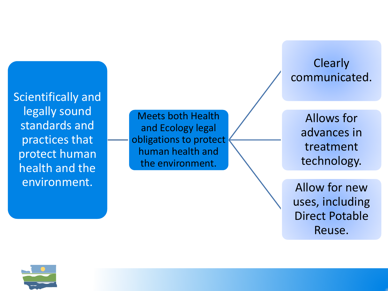Scientifically and legally sound standards and practices that protect human health and the environment.

Meets both Health and Ecology legal obligations to protect human health and the environment.

**Clearly** communicated.

> Allows for advances in treatment technology.

Allow for new uses, including Direct Potable Reuse.

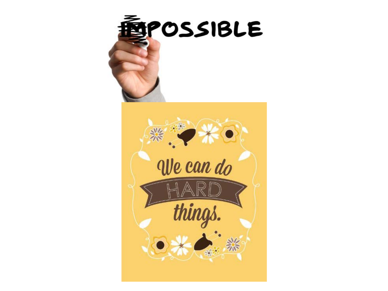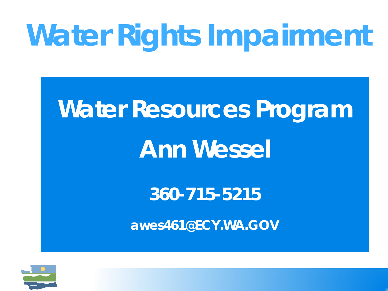## **Water Rights Impairment**

## **Water Resources Program Ann Wessel**

**360-715-5215**

**awes461@ECY.WA.GOV**

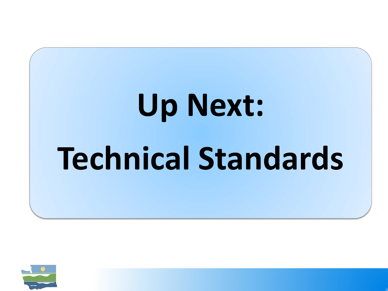# **Up Next: Technical Standards**

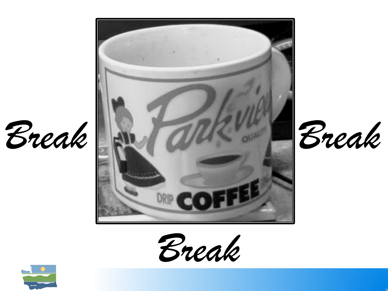





*Break*

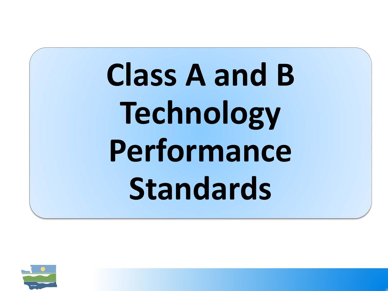**Class A and B Technology Performance Standards** 

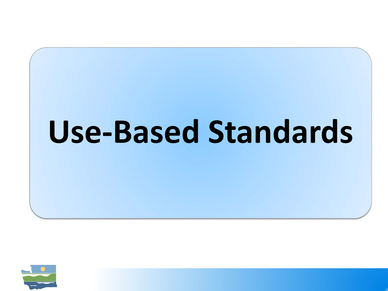## **Use-Based Standards**

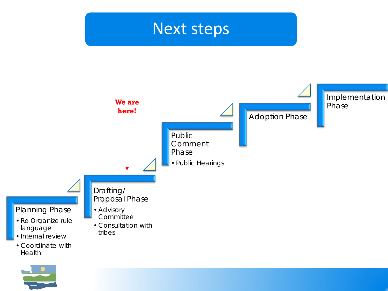### Next steps



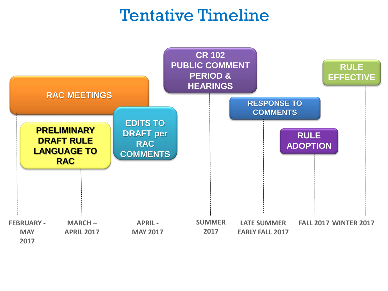### Tentative Timeline

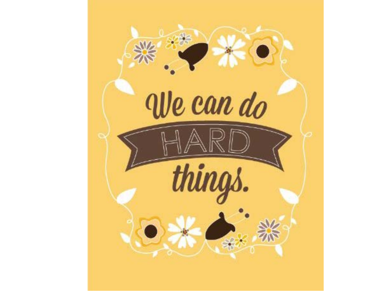